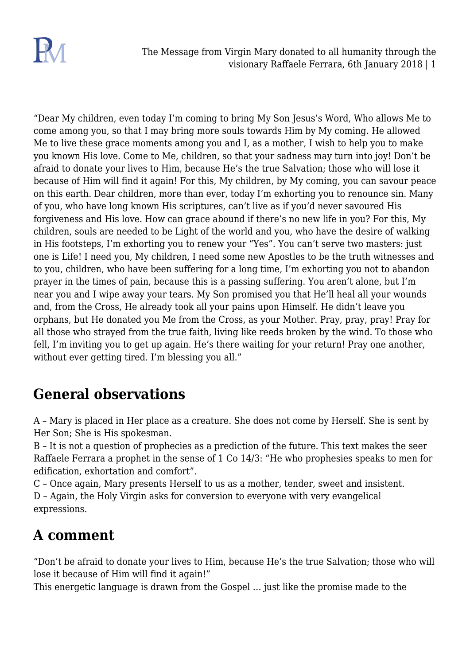

"Dear My children, even today I'm coming to bring My Son Jesus's Word, Who allows Me to come among you, so that I may bring more souls towards Him by My coming. He allowed Me to live these grace moments among you and I, as a mother, I wish to help you to make you known His love. Come to Me, children, so that your sadness may turn into joy! Don't be afraid to donate your lives to Him, because He's the true Salvation; those who will lose it because of Him will find it again! For this, My children, by My coming, you can savour peace on this earth. Dear children, more than ever, today I'm exhorting you to renounce sin. Many of you, who have long known His scriptures, can't live as if you'd never savoured His forgiveness and His love. How can grace abound if there's no new life in you? For this, My children, souls are needed to be Light of the world and you, who have the desire of walking in His footsteps, I'm exhorting you to renew your "Yes". You can't serve two masters: just one is Life! I need you, My children, I need some new Apostles to be the truth witnesses and to you, children, who have been suffering for a long time, I'm exhorting you not to abandon prayer in the times of pain, because this is a passing suffering. You aren't alone, but I'm near you and I wipe away your tears. My Son promised you that He'll heal all your wounds and, from the Cross, He already took all your pains upon Himself. He didn't leave you orphans, but He donated you Me from the Cross, as your Mother. Pray, pray, pray! Pray for all those who strayed from the true faith, living like reeds broken by the wind. To those who fell, I'm inviting you to get up again. He's there waiting for your return! Pray one another, without ever getting tired. I'm blessing you all."

## **General observations**

A – Mary is placed in Her place as a creature. She does not come by Herself. She is sent by Her Son; She is His spokesman.

B – It is not a question of prophecies as a prediction of the future. This text makes the seer Raffaele Ferrara a prophet in the sense of 1 Co 14/3: "He who prophesies speaks to men for edification, exhortation and comfort".

C – Once again, Mary presents Herself to us as a mother, tender, sweet and insistent.

D – Again, the Holy Virgin asks for conversion to everyone with very evangelical expressions.

## **A comment**

"Don't be afraid to donate your lives to Him, because He's the true Salvation; those who will lose it because of Him will find it again!"

This energetic language is drawn from the Gospel … just like the promise made to the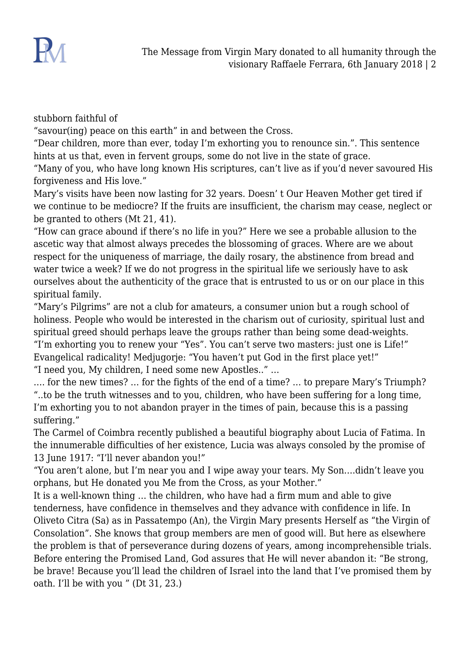

stubborn faithful of

"savour(ing) peace on this earth" in and between the Cross.

"Dear children, more than ever, today I'm exhorting you to renounce sin.". This sentence hints at us that, even in fervent groups, some do not live in the state of grace.

"Many of you, who have long known His scriptures, can't live as if you'd never savoured His forgiveness and His love."

Mary's visits have been now lasting for 32 years. Doesn' t Our Heaven Mother get tired if we continue to be mediocre? If the fruits are insufficient, the charism may cease, neglect or be granted to others (Mt 21, 41).

"How can grace abound if there's no life in you?" Here we see a probable allusion to the ascetic way that almost always precedes the blossoming of graces. Where are we about respect for the uniqueness of marriage, the daily rosary, the abstinence from bread and water twice a week? If we do not progress in the spiritual life we seriously have to ask ourselves about the authenticity of the grace that is entrusted to us or on our place in this spiritual family.

"Mary's Pilgrims" are not a club for amateurs, a consumer union but a rough school of holiness. People who would be interested in the charism out of curiosity, spiritual lust and spiritual greed should perhaps leave the groups rather than being some dead-weights. "I'm exhorting you to renew your "Yes". You can't serve two masters: just one is Life!" Evangelical radicality! Medjugorje: "You haven't put God in the first place yet!" "I need you, My children, I need some new Apostles.." …

…. for the new times? … for the fights of the end of a time? … to prepare Mary's Triumph? "..to be the truth witnesses and to you, children, who have been suffering for a long time, I'm exhorting you to not abandon prayer in the times of pain, because this is a passing suffering."

The Carmel of Coimbra recently published a beautiful biography about Lucia of Fatima. In the innumerable difficulties of her existence, Lucia was always consoled by the promise of 13 June 1917: "I'll never abandon you!"

"You aren't alone, but I'm near you and I wipe away your tears. My Son….didn't leave you orphans, but He donated you Me from the Cross, as your Mother."

It is a well-known thing … the children, who have had a firm mum and able to give tenderness, have confidence in themselves and they advance with confidence in life. In Oliveto Citra (Sa) as in Passatempo (An), the Virgin Mary presents Herself as "the Virgin of Consolation". She knows that group members are men of good will. But here as elsewhere the problem is that of perseverance during dozens of years, among incomprehensible trials. Before entering the Promised Land, God assures that He will never abandon it: "Be strong, be brave! Because you'll lead the children of Israel into the land that I've promised them by oath. I'll be with you " (Dt 31, 23.)